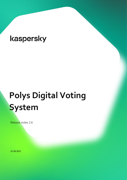# **Polys Digital Voting System**

Release notes 2.6

31.08.2021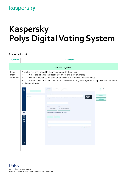# **Kaspersky Polys Digital Voting System**

#### **Release notes 2.6**

| <b>Function</b>           | <b>Description</b>                                                                                                                                                                                                                                                                                                                                                  |                                                                                                                                                                                                                                                                                                                                                                                                                                                                                   |                                                                    |  |  |  |
|---------------------------|---------------------------------------------------------------------------------------------------------------------------------------------------------------------------------------------------------------------------------------------------------------------------------------------------------------------------------------------------------------------|-----------------------------------------------------------------------------------------------------------------------------------------------------------------------------------------------------------------------------------------------------------------------------------------------------------------------------------------------------------------------------------------------------------------------------------------------------------------------------------|--------------------------------------------------------------------|--|--|--|
| For the Organizer         |                                                                                                                                                                                                                                                                                                                                                                     |                                                                                                                                                                                                                                                                                                                                                                                                                                                                                   |                                                                    |  |  |  |
| Main<br>menu<br>additions | A sidebar has been added to the main menu with three tabs:<br>Votes tab (enables the creation of a vote and a list of voters);<br>Events tab (enables the creation of an event. Currently in development);<br>$\bullet$<br>Voters tab (enables the creation of a new list of voters). Pre-registration of participants has been<br>$\bullet$<br>implemented so far. |                                                                                                                                                                                                                                                                                                                                                                                                                                                                                   |                                                                    |  |  |  |
|                           | D<br>New vote<br>B New vote<br>ARCHIVE<br>$\circledcirc$<br>Votes<br>甲<br>Events<br><u>న్</u> త<br>Voters<br>→]                                                                                                                                                                                                                                                     | $1$ CREATION<br>$2^{\text{VOTING}}$<br><b>7</b> RESULTS<br>> Not scheduled<br>TITLE OR MAIN OUESTION<br>Background<br>image<br>Description<br>NAME OF THE ORGANIZATION<br><b>BALLOT TYPE</b><br><b>VOTERS</b><br>$\Box$ Choose how voters<br>o> Determine who will have<br>Make results public (it will be seen who voted and how)<br><b>START</b><br>END<br>Select date<br>Select date<br>OPTIONS<br>$\mathbf{1}$<br>$\overline{2}$<br>Add option<br>Add images and descriptions | b<br>面<br>Copy<br>Delete<br>© Preview<br>Log in<br>and create vote |  |  |  |
|                           |                                                                                                                                                                                                                                                                                                                                                                     |                                                                                                                                                                                                                                                                                                                                                                                                                                                                                   |                                                                    |  |  |  |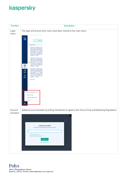| <b>Function</b> | <b>Description</b>                                                                                                                                                                                                                                                                                                                                                                                                                                                                                                                                                                                                                                                                                                                                                                                                                                                                       |  |  |  |
|-----------------|------------------------------------------------------------------------------------------------------------------------------------------------------------------------------------------------------------------------------------------------------------------------------------------------------------------------------------------------------------------------------------------------------------------------------------------------------------------------------------------------------------------------------------------------------------------------------------------------------------------------------------------------------------------------------------------------------------------------------------------------------------------------------------------------------------------------------------------------------------------------------------------|--|--|--|
| Login<br>menu   | The login and license entry menu have been moved to the main menu.                                                                                                                                                                                                                                                                                                                                                                                                                                                                                                                                                                                                                                                                                                                                                                                                                       |  |  |  |
|                 | D<br>New vote<br>$\oslash$ New vote<br>Виктория Альберта Елиз<br>Мария Гессен-Дармштад<br>Alberta Elisabeth Mathilde<br>Darmstadt), с 1917 года В<br>0<br>Маунтбе́ттен, маркиза М<br>(Victoria Mountbatten, Ma<br>Haven; 5 апреля 1863, Ви<br>Виндзор - 2409)<br>Виктория Альберта Елиз<br>Мария Гессен-Дармштад<br>Alberta Elisabeth Mathilde<br>Darmstadt), с 1917 года В<br>Маунтбеттен, маркиза М<br>(Victoria Mountbatten, Ma<br>Haven; 5 апреля 1863, Ви<br>◎<br>Виндзор - 2409)<br>Votes<br>Виктория Альберта Елиз<br>Мария Гессен-Дармштад<br>呾<br>Alberta Elisabeth Mathilde<br>Darmstadt), с 1917 года В<br><b>Events</b><br>Маунтбеттен, маркиза М<br>(Victoria Mountbatten, Ma<br>್ಲ.<br>ಗ<br>Haven; 5 апреля 1863, Ви<br>Виндзор - 2409)<br><b>Voters</b><br><b>E ARCHIVE</b><br>ryazantseval9@gmail.com<br>Buy a license<br>Enter activation code<br>$\rightarrow$ Log Out |  |  |  |
| Account         | Added account activation by ticking checkboxes to agree to the Terms of Use and Marketing Regulations.                                                                                                                                                                                                                                                                                                                                                                                                                                                                                                                                                                                                                                                                                                                                                                                   |  |  |  |
| activation      | $X_{Esc}$<br>Leave your email<br>To activate your account and get access to all your votes.<br>I agree to the Terms of Use<br>I agree to the Marketing Statement<br>Get login link<br>Log in with secret key                                                                                                                                                                                                                                                                                                                                                                                                                                                                                                                                                                                                                                                                             |  |  |  |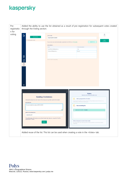| Pre-<br>registratio<br>n for | Added the ability to use the list obtained as a result of pre-registration for subsequent votes created<br>through the Voting section. |                                                                                                             |                                                                                                                                              |                                           |                     |  |
|------------------------------|----------------------------------------------------------------------------------------------------------------------------------------|-------------------------------------------------------------------------------------------------------------|----------------------------------------------------------------------------------------------------------------------------------------------|-------------------------------------------|---------------------|--|
| voting                       | D                                                                                                                                      |                                                                                                             |                                                                                                                                              |                                           | 靣                   |  |
|                              | New voter list                                                                                                                         | <b>VOTER LIST NAME</b><br>Voter list 09.12.2021                                                             |                                                                                                                                              |                                           | Delete              |  |
|                              | ⊘ Voter list 09.12.2021                                                                                                                |                                                                                                             |                                                                                                                                              |                                           | Send<br>invitations |  |
|                              |                                                                                                                                        | Upload *.csv<br>You can enter voter emails into the table or upload their list in CSV format. File template |                                                                                                                                              |                                           |                     |  |
|                              |                                                                                                                                        | <b>EMAIL ADDRESSES: 2</b>                                                                                   |                                                                                                                                              |                                           |                     |  |
|                              |                                                                                                                                        | Email                                                                                                       | Voter's name (optional)                                                                                                                      |                                           |                     |  |
|                              |                                                                                                                                        | sensoffender-2006@yandex.ru                                                                                 | First                                                                                                                                        |                                           |                     |  |
|                              |                                                                                                                                        | offender-2005@yandex.ru                                                                                     | Second                                                                                                                                       |                                           |                     |  |
|                              |                                                                                                                                        |                                                                                                             |                                                                                                                                              |                                           |                     |  |
|                              | $\bigcirc \limits_{\text{Votes}}$                                                                                                      |                                                                                                             |                                                                                                                                              |                                           |                     |  |
|                              | 甲                                                                                                                                      | Use Ctrl+C, Ctrl+V for easy editing                                                                         |                                                                                                                                              |                                           |                     |  |
|                              | Events                                                                                                                                 |                                                                                                             |                                                                                                                                              |                                           |                     |  |
|                              | $\sum_{i=1}^{n}$<br>Voters                                                                                                             |                                                                                                             |                                                                                                                                              |                                           |                     |  |
|                              |                                                                                                                                        |                                                                                                             |                                                                                                                                              |                                           |                     |  |
|                              |                                                                                                                                        |                                                                                                             |                                                                                                                                              |                                           |                     |  |
|                              |                                                                                                                                        |                                                                                                             |                                                                                                                                              |                                           |                     |  |
|                              |                                                                                                                                        |                                                                                                             |                                                                                                                                              |                                           |                     |  |
|                              |                                                                                                                                        |                                                                                                             |                                                                                                                                              |                                           |                     |  |
|                              |                                                                                                                                        |                                                                                                             |                                                                                                                                              |                                           |                     |  |
|                              |                                                                                                                                        |                                                                                                             |                                                                                                                                              |                                           |                     |  |
|                              | සූ                                                                                                                                     |                                                                                                             |                                                                                                                                              |                                           |                     |  |
|                              |                                                                                                                                        |                                                                                                             |                                                                                                                                              |                                           |                     |  |
|                              | ADDRESSES: 2                                                                                                                           |                                                                                                             |                                                                                                                                              |                                           |                     |  |
|                              |                                                                                                                                        |                                                                                                             |                                                                                                                                              | <b>Voters</b>                             |                     |  |
|                              |                                                                                                                                        |                                                                                                             |                                                                                                                                              | Determine who will have the right to vote |                     |  |
|                              | <b>Sending 2 invitations</b>                                                                                                           |                                                                                                             | $\mathbb{R}^+$<br>Add a prepared list of voters                                                                                              |                                           |                     |  |
|                              | Indicate the date, time and name of the vote, plus any other useful information.                                                       |                                                                                                             | If you know the number of voters, choose how they will get access to the vote - by                                                           |                                           |                     |  |
|                              | <b>INVITATION TEXT</b><br>You are invited to votes at 09.12.2021                                                                       |                                                                                                             | email, phone, or PIN codes issued by you.                                                                                                    |                                           |                     |  |
|                              |                                                                                                                                        |                                                                                                             | Le,<br><b>Use an existing list</b>                                                                                                           |                                           |                     |  |
|                              |                                                                                                                                        |                                                                                                             |                                                                                                                                              |                                           |                     |  |
|                              |                                                                                                                                        | 562                                                                                                         | $\sqrt{ }$ Voter list 10.12.2021 - 3 emails                                                                                                  |                                           |                     |  |
|                              | NAME OF THE ORGANIZATION                                                                                                               |                                                                                                             |                                                                                                                                              |                                           |                     |  |
|                              | ryazantseval9                                                                                                                          |                                                                                                             |                                                                                                                                              |                                           |                     |  |
|                              | The addressees will receive an email and make their decision using the "Confirm<br>participation" button.<br>Send                      |                                                                                                             |                                                                                                                                              |                                           |                     |  |
|                              |                                                                                                                                        |                                                                                                             | Allow everyone to vote in test mode<br>We will generate a link, following which it will be possible to vote 20 times without<br>registering. |                                           |                     |  |
|                              |                                                                                                                                        |                                                                                                             |                                                                                                                                              |                                           |                     |  |
|                              |                                                                                                                                        |                                                                                                             |                                                                                                                                              |                                           |                     |  |
|                              |                                                                                                                                        |                                                                                                             |                                                                                                                                              |                                           |                     |  |
|                              |                                                                                                                                        |                                                                                                             |                                                                                                                                              |                                           |                     |  |
|                              |                                                                                                                                        | Added reuse of the list. This list can be used when creating a vote in the «Votes» tab.                     |                                                                                                                                              |                                           |                     |  |
|                              |                                                                                                                                        |                                                                                                             |                                                                                                                                              |                                           |                     |  |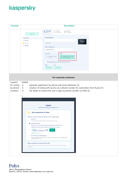| <b>Function</b>                              | <b>Description</b>                                                                                                                                                                                                                                                                                                                                                                                                                                                                                                                                                                                                                                                                                                                                                                                                                                                                                                                                                                                                                                                                                                                                                      |  |  |  |
|----------------------------------------------|-------------------------------------------------------------------------------------------------------------------------------------------------------------------------------------------------------------------------------------------------------------------------------------------------------------------------------------------------------------------------------------------------------------------------------------------------------------------------------------------------------------------------------------------------------------------------------------------------------------------------------------------------------------------------------------------------------------------------------------------------------------------------------------------------------------------------------------------------------------------------------------------------------------------------------------------------------------------------------------------------------------------------------------------------------------------------------------------------------------------------------------------------------------------------|--|--|--|
|                                              | CREATION<br>$2$ VOTING<br>Not scheduled<br>$3$ RESULTS<br>Mot scheduled<br>$1 \frac{CRE}{Now}$<br>New vote<br><b>TITLE OR MAIN QUESTION</b><br>$\oslash$ New vote<br>$\oslash$ New vote<br>Background<br>image<br>Description<br>or or or?<br><b>E ARCHIVE</b><br><b>NAME OF THE ORGANIZATION</b><br>sensoffender-2006<br><b>BALLOT TYPE</b><br><b>VOTERS</b><br>$\circledcirc$ Determine who will have<br>Choose how voters<br>$\boxed{\checkmark}$<br>will vote<br>Make results public (it will be seen who voted and how)<br><b>START</b><br>END<br>Select date<br>Select date                                                                                                                                                                                                                                                                                                                                                                                                                                                                                                                                                                                       |  |  |  |
|                                              | For corporate customers                                                                                                                                                                                                                                                                                                                                                                                                                                                                                                                                                                                                                                                                                                                                                                                                                                                                                                                                                                                                                                                                                                                                                 |  |  |  |
| Support<br>for voting<br>by phone<br>numbers | Added:<br>separate registration by phone and email addresses (1);<br>$\bullet$<br>creation of voting with access via a phone number for subscribers from Russia (1);<br>$\bullet$<br>the ability to restore the user's login by phone number via SMS (2).<br>$\bullet$<br>1.<br><b>Voters</b><br>Determine who will have the right to vote<br>$\mathcal{L}$<br>Add a prepared list of voters<br>Decide how voters will receive an alert and a link to access voting.<br>By email<br>We will send each voter a letter with a personal link to the vote.<br>• By phone number<br>Each voter will receive a text message with a personal link to enter the vote.<br>Upload the list of voters' phone numbers in CSV format. File template<br>2 voters<br>Done<br>телефоны - телефоны.csv<br>Upload more *.csv<br>By PIN code from the Organizer<br>$\left( \begin{array}{c} \end{array} \right)$<br>We will create tickets with PIN codes for access to the vote, and you will independently<br>distribute them to voters.<br>Allow everyone to vote in test mode<br>We will generate a link, following which it will be possible to vote 20 times without<br>registering. |  |  |  |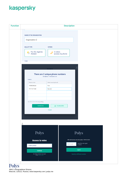| <b>Function</b> | <b>Description</b>                                                                                                                                                                                                                                                                     |  |  |
|-----------------|----------------------------------------------------------------------------------------------------------------------------------------------------------------------------------------------------------------------------------------------------------------------------------------|--|--|
|                 | NAME OF THE ORGANIZATION<br>Organization Z<br><b>BALLOT TYPE</b><br><b>VOTERS</b><br>$\frac{1}{\sqrt{2}}$ For (5), Against,<br>2 voters<br>$\mathscr{S}$<br>access: by phone                                                                                                           |  |  |
|                 | TVDE<br><b>Voters</b><br>There are 2 unique phone numbers<br>телефоны - телефоны.csv                                                                                                                                                                                                   |  |  |
|                 | PHONE: 2<br>Voter's name (optional)<br>Phone number<br>79998594624<br>First<br>79771817068<br>Second<br>Use Ctrl+C, Ctrl+V for easy editing.<br>Confirm list<br><b>と</b> Download list<br>Cancel                                                                                       |  |  |
|                 | 2.<br>Polys<br>Polys<br>SMS code has been sent to the number +7 999 123 45 67.<br><b>Access to votes</b><br>Send the code again<br>SMS code<br>in 00:55<br>+79991234567<br>Log In<br>Continue<br>By clicking "Continue" you agree<br>Specify a different number<br>to the Terms of Use |  |  |

#### Polys 39A/1 Leningradskoe Shosse, Moscow, 125212, Russia | www.kaspersky.com | polys.me